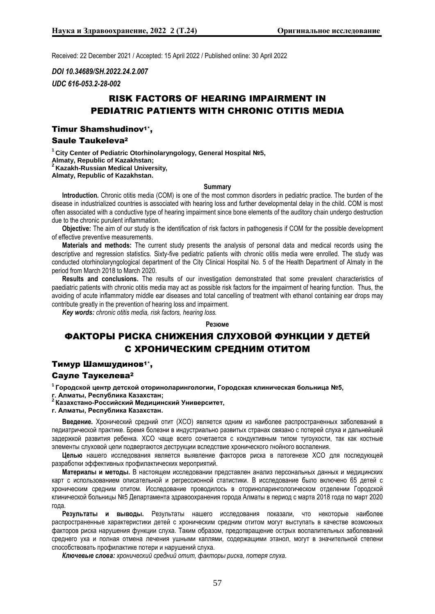Received: 22 December 2021 / Accepted: 15 April 2022 / Published online: 30 April 2022

*DOI 10.34689/SH.2022.24.2.007*

*UDC 616-053.2-28-002*

# RISK FACTORS OF HEARING IMPAIRMENT IN PEDIATRIC PATIENTS WITH CHRONIC OTITIS MEDIA

## Timur Shamshudinov1\*, Saule Taukeleva<sup>2</sup>

**<sup>1</sup> City Center of Pediatric Otorhinolaryngology, General Hospital №5, Almaty, Republic of Kazakhstan; <sup>2</sup> Kazakh-Russian Medical University, Almaty, Republic of Kazakhstan.**

### **Summary**

**Introduction.** Chronic otitis media (COM) is one of the most common disorders in pediatric practice. The burden of the disease in industrialized countries is associated with hearing loss and further developmental delay in the child. COM is most often associated with a conductive type of hearing impairment since bone elements of the auditory chain undergo destruction due to the chronic purulent inflammation.

**Objective:** The aim of our study is the identification of risk factors in pathogenesis if COM for the possible development of effective preventive measurements.

**Materials and methods:** The current study presents the analysis of personal data and medical records using the descriptive and regression statistics. Sixty-five pediatric patients with chronic otitis media were enrolled. The study was conducted otorhinolaryngological department of the City Clinical Hospital No. 5 of the Health Department of Almaty in the period from March 2018 to March 2020.

**Results and conclusions.** The results of our investigation demonstrated that some prevalent characteristics of paediatric patients with chronic otitis media may act as possible risk factors for the impairment of hearing function. Thus, the avoiding of acute inflammatory middle ear diseases and total cancelling of treatment with ethanol containing ear drops may contribute greatly in the prevention of hearing loss and impairment.

*Key words: chronic otitis media, risk factors, hearing loss.*

#### **Резюме**

# ФАКТОРЫ РИСКА СНИЖЕНИЯ СЛУХОВОЙ ФУНКЦИИ У ДЕТЕЙ С ХРОНИЧЕСКИМ СРЕДНИМ ОТИТОМ

## Тимур Шамшудинов1\*,

## Сауле Таукелева<sup>2</sup>

**<sup>1</sup>Городской центр детской оториноларингологии, Городская клиническая больница №5, г. Алматы, Республика Казахстан;**

**<sup>2</sup>Казахстано-Российский Медицинский Университет,** 

**г. Алматы, Республика Казахстан.**

**Введение.** Хронический средний отит (ХСО) является одним из наиболее распространенных заболеваний в педиатрической практике. Бремя болезни в индустриально развитых странах связано с потерей слуха и дальнейшей задержкой развития ребенка. ХСО чаще всего сочетается с кондуктивным типом тугоухости, так как костные элементы слуховой цепи подвергаются деструкции вследствие хронического гнойного воспаления.

**Целью** нашего исследования является выявление факторов риска в патогенезе ХСО для последующей разработки эффективных профилактических мероприятий.

**Материалы и методы.** В настоящем исследовании представлен анализ персональных данных и медицинских карт с использованием описательной и регрессионной статистики. В исследование было включено 65 детей с хроническим средним отитом. Исследование проводилось в оториноларингологическом отделении Городской клинической больницы №5 Департамента здравоохранения города Алматы в период с марта 2018 года по март 2020 года.

**Результаты и выводы.** Результаты нашего исследования показали, что некоторые наиболее распространенные характеристики детей с хроническим средним отитом могут выступать в качестве возможных факторов риска нарушения функции слуха. Таким образом, предотвращение острых воспалительных заболеваний среднего уха и полная отмена лечения ушными каплями, содержащими этанол, могут в значительной степени способствовать профилактике потери и нарушений слуха.

*Ключевые слова: хронический средний отит, факторы риска, потеря слуха.*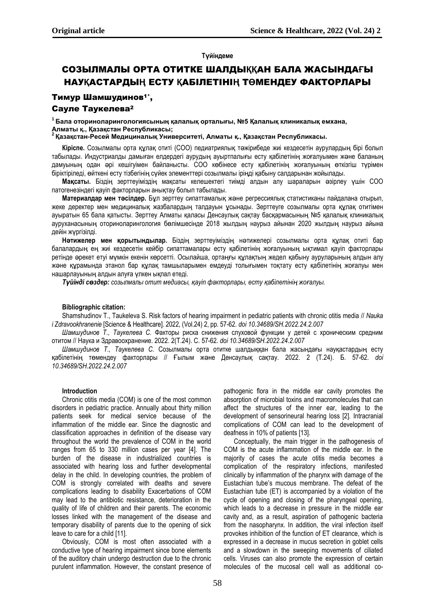## **Түйіндеме**

# СОЗЫЛМАЛЫ ОРТА ОТИТКЕ ШАЛДЫ**ҚҚ**АН БАЛА ЖАСЫНДА**Ғ**Ы НАУ**Қ**АСТАРДЫ**Ң** ЕСТУ **Қ**АБІЛЕТІНІ**Ң** Т**Ө**МЕНДЕУ ФАКТОРЛАРЫ

## Тимур Шамшудинов1\*,

## Сауле Таукелева<sup>2</sup>

**<sup>1</sup> Бала оториноларингологиясының қалалық орталығы, №5 Қалалық клиникалық емхана, Алматы қ., Қазақстан Республикасы;**

**2 Қазақстан-Ресей Медициналық Университеті, Алматы қ., Қазақстан Республикасы.**

**Кіріспе.** Созылмалы орта құлақ отиті (СОО) педиатриялық тәжірибеде жиі кездесетін аурулардың бірі болып табылады. Индустриалды дамыған елдердегі аурудың ауыртпалығы есту қабілетінің жоғалуымен және баланың дамуының одан әрі кешігуімен байланысты. СОО көбінесе есту қабілетінің жоғалуының өткізгіш түрімен біріктіріледі, өйткені есту тізбегінің сүйек элементтері созылмалы іріңді қабыну салдарынан жойылады.

**Мақсаты.** Біздің зерттеуіміздің мақсаты келешектегі тиімді алдын алу шараларын әзірлеу үшін СОО патогенезіндегі қауіп факторларын анықтау болып табылады.

**Материалдар мен тәсілдер.** Бұл зерттеу сипаттамалық және регрессиялық статистиканы пайдалана отырып, жеке деректер мен медициналық жазбалардың талдауын ұсынады. Зерттеуге созылмалы орта құлақ отитімен ауыратын 65 бала қатысты. Зерттеу Алматы қаласы Денсаулық сақтау басқармасының №5 қалалық клиникалық ауруханасының оториноларингология бөлімшесінде 2018 жылдың наурыз айынан 2020 жылдың наурыз айына дейін жүргізілді.

**Нәтижелер мен қорытындылар.** Біздің зерттеуіміздің нәтижелері созылмалы орта құлақ отиті бар балалардың ең жиі кездесетін кейбір сипаттамалары есту қабілетінің жоғалуының ықтимал қауіп факторлары ретінде әрекет етуі мүмкін екенін көрсетті. Осылайша, ортаңғы құлақтың жедел қабыну ауруларының алдын алу және құрамында этанол бар құлақ тамшыларымен емдеуді толығымен тоқтату есту қабілетінің жоғалуы мен нашарлауының алдын алуға үлкен ықпал етеді.

*Түйінді сөздер: созылмалы отит медиасы, қауіп факторлары, есту қабілетінің жоғалуы.*

## **Bibliographic citation:**

Shamshudinov T., Taukeleva S. Risk factors of hearing impairment in pediatric patients with chronic otitis media // *Nauka i Zdravookhranenie* [Science & Healthcare]. 2022, (Vol.24) 2, pp. 57-62. *doi 10.34689/SH.2022.24.2.007*

*Шамшудинов Т., Таукелева С.* Факторы риска снижения слуховой функции у детей с хроническим средним отитом // Наука и Здравоохранение. 2022. 2(Т.24). С. 57-62. *doi 10.34689/SH.2022.24.2.007*

*Шамшудинов Т., Таукелева С.* Созылмалы орта отитке шалдыққан бала жасындағы науқастардың есту қабілетінің төмендеу факторлары // Ғылым және Денсаулық сақтау. 2022. 2 (Т.24). Б. 57-62. *doi 10.34689/SH.2022.24.2.007*

## **Introduction**

Chronic otitis media (COM) is one of the most common disorders in pediatric practice. Annually about thirty million patients seek for medical service because of the inflammation of the middle ear. Since the diagnostic and classification approaches in definition of the disease vary throughout the world the prevalence of COM in the world ranges from 65 to 330 million cases per year [4]. The burden of the disease in industrialized countries is associated with hearing loss and further developmental delay in the child. In developing countries, the problem of COM is strongly correlated with deaths and severe complications leading to disability Exacerbations of COM may lead to the antibiotic resistance, deterioration in the quality of life of children and their parents. The economic losses linked with the management of the disease and temporary disability of parents due to the opening of sick leave to care for a child [11].

Obviously, COM is most often associated with a conductive type of hearing impairment since bone elements of the auditory chain undergo destruction due to the chronic purulent inflammation. However, the constant presence of pathogenic flora in the middle ear cavity promotes the absorption of microbial toxins and macromolecules that can affect the structures of the inner ear, leading to the development of sensorineural hearing loss [2]. Intracranial complications of COM can lead to the development of deafness in 10% of patients [13].

Conceptually, the main trigger in the pathogenesis of COM is the acute inflammation of the middle ear. In the majority of cases the acute otitis media becomes a complication of the respiratory infections, manifested clinically by inflammation of the pharynx with damage of the Eustachian tube's mucous membrane. The defeat of the Eustachian tube (ET) is accompanied by a violation of the cycle of opening and closing of the pharyngeal opening, which leads to a decrease in pressure in the middle ear cavity and, as a result, aspiration of pathogenic bacteria from the nasopharynx. In addition, the viral infection itself provokes inhibition of the function of ET clearance, which is expressed in a decrease in mucus secretion in goblet cells and a slowdown in the sweeping movements of ciliated cells. Viruses can also promote the expression of certain molecules of the mucosal cell wall as additional co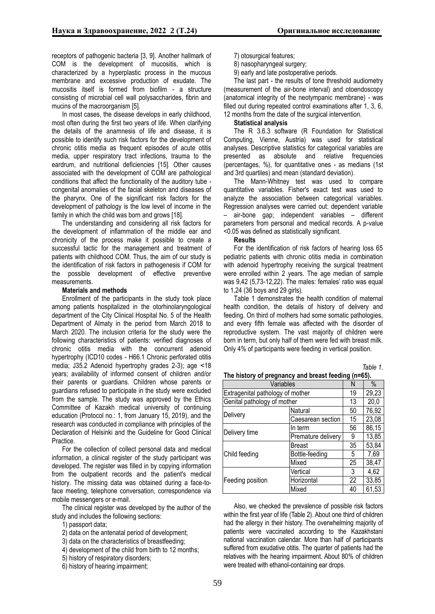receptors of pathogenic bacteria [3, 9]. Another hallmark of COM is the development of mucositis, which is characterized by a hyperplastic process in the mucous membrane and excessive production of exudate. The mucositis itself is formed from biofilm - a structure consisting of microbial cell wall polysaccharides, fibrin and mucins of the macroorganism [5].

In most cases, the disease develops in early childhood, most often during the first two years of life. When clarifying the details of the anamnesis of life and disease, it is possible to identify such risk factors for the development of chronic otitis media as frequent episodes of acute otitis media, upper respiratory tract infections, trauma to the eardrum, and nutritional deficiencies [15]. Other causes associated with the development of COM are pathological conditions that affect the functionality of the auditory tube congenital anomalies of the facial skeleton and diseases of the pharynx. One of the significant risk factors for the development of pathology is the low level of income in the family in which the child was born and grows [18].

The understanding and considering all risk factors for the development of inflammation of the middle ear and chronicity of the process make it possible to create a successful tactic for the management and treatment of patients with childhood COM. Thus, the aim of our study is the identification of risk factors in pathogenesis if COM for the possible development of effective preventive measurements.

### **Materials and methods**

Enrollment of the participants in the study took place among patients hospitalized in the otorhinolaryngological department of the City Clinical Hospital No. 5 of the Health Department of Almaty in the period from March 2018 to March 2020. The inclusion criteria for the study were the following characteristics of patients: verified diagnoses of chronic otitis media with the concurrent adenoid hypertrophy (ICD10 codes - H66.1 Chronic perforated otitis media; J35.2 Adenoid hypertrophy grades 2-3); age ˂18 years; availability of informed consent of children and/or their parents or guardians. Children whose parents or guardians refused to participate in the study were excluded from the sample. The study was approved by the Ethics Committee of Kazakh medical university of continuing education (Protocol no.: 1, from January 15, 2019), and the research was conducted in compliance with principles of the Declaration of Helsinki and the Guideline for Good Clinical Practice.

For the collection of collect personal data and medical information, a clinical register of the study participant was developed. The register was filled in by copying information from the outpatient records and the patient's medical history. The missing data was obtained during a face-toface meeting, telephone conversation, correspondence via mobile messengers or e-mail.

The clinical register was developed by the author of the study and includes the following sections:

- 1) passport data;
- 2) data on the antenatal period of development;
- 3) data on the characteristics of breastfeeding;
- 4) development of the child from birth to 12 months;
- 5) history of respiratory disorders;
- 6) history of hearing impairment;
- 7) otosurgical features;
- 8) nasopharyngeal surgery;
- 9) early and late postoperative periods.

The last part - the results of tone threshold audiometry (measurement of the air-bone interval) and otoendoscopy (anatomical integrity of the neotympanic membrane) - was filled out during repeated control examinations after 1, 3, 6, 12 months from the date of the surgical intervention.

## **Statistical analysis**

The R 3.6.3 software (R Foundation for Statistical Computing, Vienne, Austria) was used for statistical analyses. Descriptive statistics for categorical variables are presented as absolute and relative frequencies (percentages, %), for quantitative ones - as medians (1st and 3rd quartiles) and mean (standard deviation).

The Mann-Whitney test was used to compare quantitative variables. Fisher's exact test was used to analyze the association between categorical variables. Regression analyses were carried out: dependent variable – air-bone gap; independent variables – different parameters from personal and medical records. A p-value *<*0.05 was defined as statistically significant.

#### **Results**

For the identification of risk factors of hearing loss 65 pediatric patients with chronic otitis media in combination with adenoid hypertrophy receiving the surgical treatment were enrolled within 2 years. The age median of sample was 9,42 (5,73-12,22). The males: females' ratio was equal to 1,24 (36 boys and 29 girls).

Table 1 demonstrates the health condition of maternal health condition, the details of history of delivery and feeding. On third of mothers had some somatic pathologies, and every fifth female was affected with the disorder of reproductive system. The vast majority of children were born in term, but only half of them were fed with breast milk. Only 4% of participants were feeding in vertical position.

| able |
|------|
|------|

| The history of pregnancy and breast feeding (n=65). |                    |    |       |
|-----------------------------------------------------|--------------------|----|-------|
| Variables                                           |                    | N  | $\%$  |
| Extragenital pathology of mother                    |                    | 19 | 29,23 |
| Genital pathology of mother                         |                    | 13 | 20,0  |
| Delivery                                            | Natural            | 50 | 76,92 |
|                                                     | Caesarean section  | 15 | 23,08 |
| Delivery time                                       | In term            | 56 | 86,15 |
|                                                     | Premature delivery | 9  | 13,85 |
| Child feeding                                       | Breast             | 35 | 53,84 |
|                                                     | Bottle-feeding     | 5  | 7,69  |
|                                                     | Mixed              | 25 | 38,47 |
| Feeding position                                    | Vertical           | 3  | 4,62  |
|                                                     | Horizontal         | 22 | 33,85 |
|                                                     | Mixed              | 40 | 61,53 |

Also, we checked the prevalence of possible risk factors within the first year of life (Table 2). About one third of children had the allergy in their history. The overwhelming majority of patients were vaccinated according to the Kazakhstani national vaccination calendar. More than half of participants suffered from exudative otitis. The quarter of patients had the relatives with the hearing impairment. About 80% of children were treated with ethanol-containing ear drops.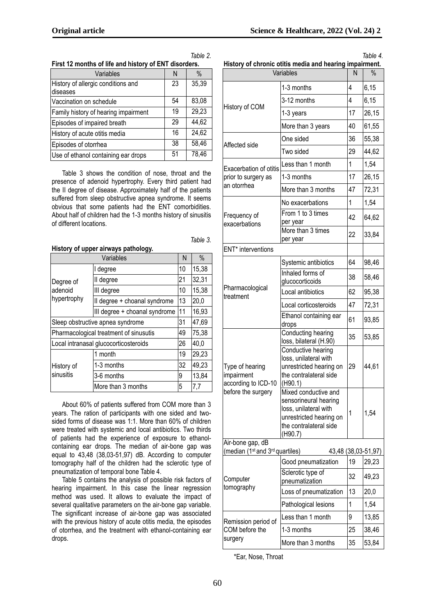| Variables                            | Ν  | $\%$  |
|--------------------------------------|----|-------|
| History of allergic conditions and   | 23 | 35,39 |
| <b>diseases</b>                      |    |       |
| Vaccination on schedule              | 54 | 83,08 |
| Family history of hearing impairment | 19 | 29,23 |
| Episodes of impaired breath          | 29 | 44,62 |
| History of acute otitis media        | 16 | 24,62 |
| Episodes of otorrhea                 | 38 | 58,46 |
| Use of ethanol containing ear drops  | 51 | 78,46 |

**First 12 months of life and history of ENT disorders.**

*Table 2.*

*Table 3.*

Table 3 shows the condition of nose, throat and the presence of adenoid hypertrophy. Every third patient had the II degree of disease. Approximately half of the patients suffered from sleep obstructive apnea syndrome. It seems obvious that some patients had the ENT comorbidities. About half of children had the 1-3 months history of sinusitis of different locations.

| History of upper airways pathology.    |                               |    |       |  |
|----------------------------------------|-------------------------------|----|-------|--|
| Variables                              |                               |    | $\%$  |  |
| Degree of<br>adenoid<br>hypertrophy    | I degree                      |    | 15,38 |  |
|                                        | II degree                     | 21 | 32,31 |  |
|                                        | III degree                    |    | 15,38 |  |
|                                        | Il degree + choanal syndrome  |    | 20,0  |  |
|                                        | III degree + choanal syndrome | 11 | 16,93 |  |
| Sleep obstructive apnea syndrome       |                               |    | 47,69 |  |
| Pharmacological treatment of sinusutis |                               | 49 | 75,38 |  |
| Local intranasal glucocorticosteroids  |                               | 26 | 40,0  |  |
| History of<br>sinusitis                | 1 month                       | 19 | 29,23 |  |
|                                        | 1-3 months                    | 32 | 49,23 |  |
|                                        | 3-6 months                    | 9  | 13,84 |  |
|                                        | More than 3 months            | 5  | 7,7   |  |

About 60% of patients suffered from COM more than 3 years. The ration of participants with one sided and twosided forms of disease was 1:1. More than 60% of children were treated with systemic and local antibiotics. Two thirds of patients had the experience of exposure to ethanolcontaining ear drops. The median of air-bone gap was equal to 43,48 (38,03-51,97) dB. According to computer tomography half of the children had the sclerotic type of pneumatization of temporal bone Table 4.

Table 5 contains the analysis of possible risk factors of hearing impairment. In this case the linear regression method was used. It allows to evaluate the impact of several qualitative parameters on the air-bone gap variable. The significant increase of air-bone gap was associated with the previous history of acute otitis media, the episodes of otorrhea, and the treatment with ethanol-containing ear drops.

| History of chronic otitis media and nearing impairment.<br>Variables        |                                                                                                                                        | N  | $\%$                |
|-----------------------------------------------------------------------------|----------------------------------------------------------------------------------------------------------------------------------------|----|---------------------|
|                                                                             | 1-3 months                                                                                                                             | 4  | 6,15                |
|                                                                             | 3-12 months                                                                                                                            | 4  | 6, 15               |
| History of COM                                                              | 1-3 years                                                                                                                              | 17 | 26,15               |
|                                                                             | More than 3 years                                                                                                                      | 40 | 61,55               |
|                                                                             | One sided                                                                                                                              | 36 | 55,38               |
| Affected side                                                               | Two sided                                                                                                                              | 29 | 44,62               |
|                                                                             | Less than 1 month                                                                                                                      | 1  | 1,54                |
| Exacerbation of otitis<br>prior to surgery as                               | 1-3 months                                                                                                                             | 17 | 26,15               |
| an otorrhea                                                                 | More than 3 months                                                                                                                     | 47 | 72,31               |
| Frequency of<br>exacerbations                                               | No exacerbations                                                                                                                       | 1  | 1,54                |
|                                                                             | From 1 to 3 times<br>per year                                                                                                          | 42 | 64,62               |
|                                                                             | More than 3 times<br>per year                                                                                                          | 22 | 33,84               |
| ENT* interventions                                                          |                                                                                                                                        |    |                     |
| Pharmacological<br>treatment                                                | Systemic antibiotics                                                                                                                   | 64 | 98,46               |
|                                                                             | Inhaled forms of<br>glucocorticoids                                                                                                    | 38 | 58,46               |
|                                                                             | Local antibiotics                                                                                                                      | 62 | 95,38               |
|                                                                             | Local corticosteroids                                                                                                                  | 47 | 72,31               |
|                                                                             | Ethanol containing ear<br>drops                                                                                                        | 61 | 93,85               |
| Type of hearing<br>impairment<br>according to ICD-10                        | Conducting hearing<br>loss, bilateral (H.90)                                                                                           | 35 | 53,85               |
|                                                                             | Conductive hearing<br>loss, unilateral with<br>unrestricted hearing on<br>the contralateral side<br>(H90.1)                            | 29 | 44,61               |
| before the surgery                                                          | Mixed conductive and<br>sensorineural hearing<br>loss, unilateral with<br>unrestricted hearing on<br>the contralateral side<br>(H90.7) | 1  | 1,54                |
| Air-bone gap, dB<br>(median (1 <sup>st</sup> and 3 <sup>rd</sup> quartiles) |                                                                                                                                        |    | 43,48 (38,03-51,97) |
|                                                                             | Good pneumatization                                                                                                                    | 19 | 29,23               |
| Computer<br>tomography                                                      | Sclerotic type of<br>pneumatization                                                                                                    | 32 | 49,23               |
|                                                                             | Loss of pneumatization                                                                                                                 | 13 | 20,0                |
|                                                                             | Pathological lesions                                                                                                                   | 1  | 1,54                |
| Remission period of                                                         | Less than 1 month                                                                                                                      | 9  | 13,85               |
| COM before the                                                              | 1-3 months                                                                                                                             | 25 | 38,46               |
| surgery                                                                     | More than 3 months                                                                                                                     | 35 | 53,84               |

**History of chronic otitis media and hearing impairment.**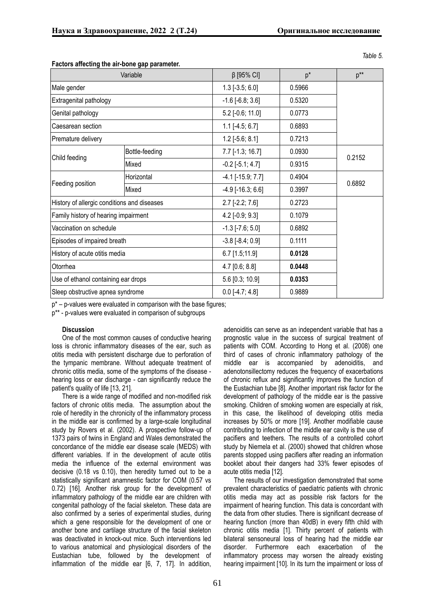*Table 5.*

|                                             | Variable       | $\beta$ [95% CI]           | $p^*$  | $p^{**}$ |
|---------------------------------------------|----------------|----------------------------|--------|----------|
| Male gender                                 |                | $1.3$ [-3.5; 6.0]          | 0.5966 |          |
| Extragenital pathology                      |                | $-1.6$ [ $-6.8$ ; 3.6]     | 0.5320 |          |
| Genital pathology                           |                | 5.2 [-0.6; 11.0]           | 0.0773 |          |
| Caesarean section                           |                | $1.1$ [-4.5; 6.7]          | 0.6893 |          |
| Premature delivery                          |                | $1.2$ [-5.6; 8.1]          | 0.7213 |          |
| Child feeding                               | Bottle-feeding | $7.7$ [-1.3; 16.7]         | 0.0930 |          |
|                                             | Mixed          | $-0.2$ [ $-5.1; 4.7$ ]     | 0.9315 | 0.2152   |
| Feeding position                            | Horizontal     | $-4.1$ [ $-15.9$ ; $7.7$ ] | 0.4904 | 0.6892   |
|                                             | Mixed          | $-4.9$ [ $-16.3$ ; 6.6]    | 0.3997 |          |
| History of allergic conditions and diseases |                | $2.7$ [-2.2; 7.6]          | 0.2723 |          |
| Family history of hearing impairment        |                | $4.2$ [-0.9; 9.3]          | 0.1079 |          |
| Vaccination on schedule                     |                | $-1.3$ [ $-7.6$ ; 5.0]     | 0.6892 |          |
| Episodes of impaired breath                 |                | $-3.8$ $[-8.4; 0.9]$       | 0.1111 |          |
| History of acute otitis media               |                | 6.7 [1.5;11.9]             | 0.0128 |          |
| Otorrhea                                    |                | $4.7$ [0.6; 8.8]           | 0.0448 |          |
| Use of ethanol containing ear drops         |                | 5.6 [0.3; 10.9]            | 0.0353 |          |
| Sleep obstructive apnea syndrome            |                | $0.0$ [-4.7; 4.8]          | 0.9889 |          |

### **Factors affecting the air-bone gap parameter.**

 $p^*$  – p-values were evaluated in comparison with the base figures;

р\*\* - p-values were evaluated in comparison of subgroups

## **Discussion**

One of the most common causes of conductive hearing loss is chronic inflammatory diseases of the ear, such as otitis media with persistent discharge due to perforation of the tympanic membrane. Without adequate treatment of chronic otitis media, some of the symptoms of the disease hearing loss or ear discharge - can significantly reduce the patient's quality of life [13, 21].

There is a wide range of modified and non-modified risk factors of chronic otitis media. The assumption about the role of heredity in the chronicity of the inflammatory process in the middle ear is confirmed by a large-scale longitudinal study by Rovers et al. (2002). A prospective follow-up of 1373 pairs of twins in England and Wales demonstrated the concordance of the middle ear disease scale (MEDS) with different variables. If in the development of acute otitis media the influence of the external environment was decisive (0.18 vs 0.10), then heredity turned out to be a statistically significant anamnestic factor for COM (0.57 vs 0.72) [16]. Another risk group for the development of inflammatory pathology of the middle ear are children with congenital pathology of the facial skeleton. These data are also confirmed by a series of experimental studies, during which a gene responsible for the development of one or another bone and cartilage structure of the facial skeleton was deactivated in knock-out mice. Such interventions led to various anatomical and physiological disorders of the Eustachian tube, followed by the development of inflammation of the middle ear [6, 7, 17]. In addition,

adenoiditis can serve as an independent variable that has a prognostic value in the success of surgical treatment of patients with COM. According to Hong et al. (2008) one third of cases of chronic inflammatory pathology of the middle ear is accompanied by adenoiditis, and adenotonsillectomy reduces the frequency of exacerbations of chronic reflux and significantly improves the function of the Eustachian tube [8]. Another important risk factor for the development of pathology of the middle ear is the passive smoking. Children of smoking women are especially at risk, in this case, the likelihood of developing otitis media increases by 50% or more [19]. Another modifiable cause contributing to infection of the middle ear cavity is the use of pacifiers and teethers. The results of a controlled cohort study by Niemela et al. (2000) showed that children whose parents stopped using pacifiers after reading an information booklet about their dangers had 33% fewer episodes of acute otitis media [12].

The results of our investigation demonstrated that some prevalent characteristics of paediatric patients with chronic otitis media may act as possible risk factors for the impairment of hearing function. This data is concordant with the data from other studies. There is significant decrease of hearing function (more than 40dB) in every fifth child with chronic otitis media [1]. Thirty percent of patients with bilateral sensoneural loss of hearing had the middle ear disorder. Furthermore each exacerbation of the inflammatory process may worsen the already existing hearing impairment [10]. In its turn the impairment or loss of